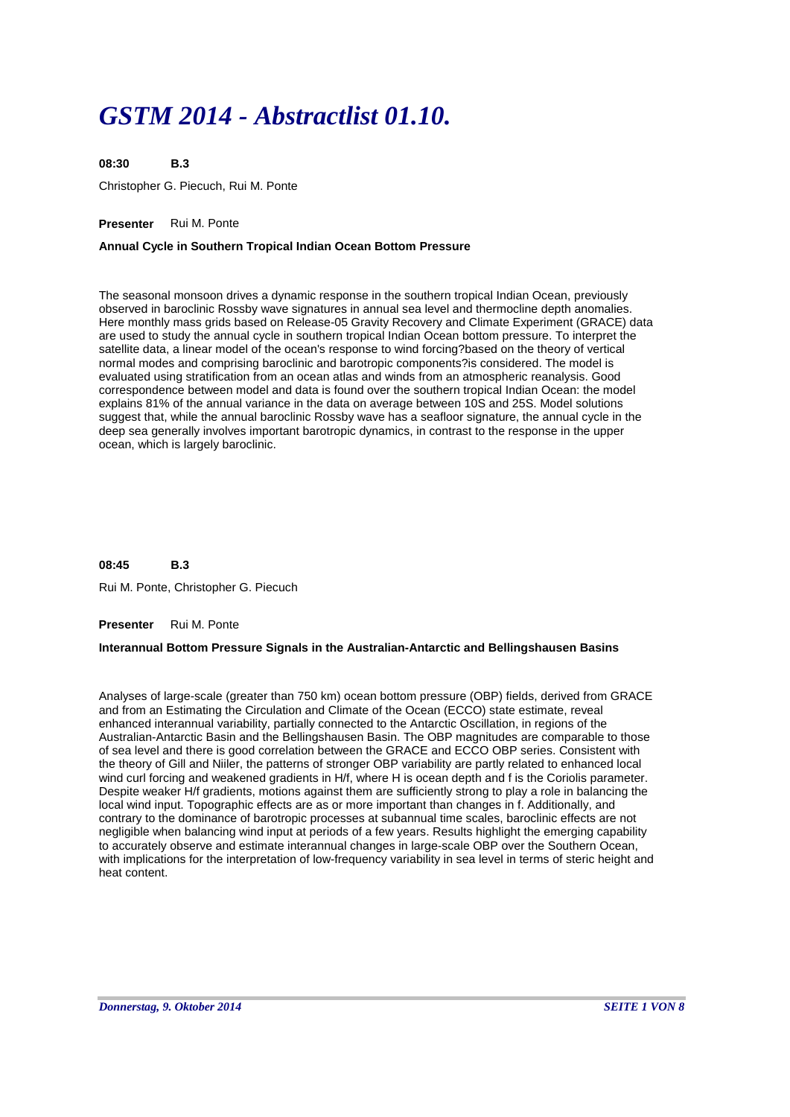# *GSTM 2014 - Abstractlist 01.10.*

**B.3** Christopher G. Piecuch, Rui M. Ponte **08:30**

# **Presenter** Rui M. Ponte

# **Annual Cycle in Southern Tropical Indian Ocean Bottom Pressure**

The seasonal monsoon drives a dynamic response in the southern tropical Indian Ocean, previously observed in baroclinic Rossby wave signatures in annual sea level and thermocline depth anomalies. Here monthly mass grids based on Release-05 Gravity Recovery and Climate Experiment (GRACE) data are used to study the annual cycle in southern tropical Indian Ocean bottom pressure. To interpret the satellite data, a linear model of the ocean's response to wind forcing?based on the theory of vertical normal modes and comprising baroclinic and barotropic components?is considered. The model is evaluated using stratification from an ocean atlas and winds from an atmospheric reanalysis. Good correspondence between model and data is found over the southern tropical Indian Ocean: the model explains 81% of the annual variance in the data on average between 10S and 25S. Model solutions suggest that, while the annual baroclinic Rossby wave has a seafloor signature, the annual cycle in the deep sea generally involves important barotropic dynamics, in contrast to the response in the upper ocean, which is largely baroclinic.

#### **B.3 08:45**

Rui M. Ponte, Christopher G. Piecuch

### **Presenter** Rui M. Ponte

### **Interannual Bottom Pressure Signals in the Australian-Antarctic and Bellingshausen Basins**

Analyses of large-scale (greater than 750 km) ocean bottom pressure (OBP) fields, derived from GRACE and from an Estimating the Circulation and Climate of the Ocean (ECCO) state estimate, reveal enhanced interannual variability, partially connected to the Antarctic Oscillation, in regions of the Australian-Antarctic Basin and the Bellingshausen Basin. The OBP magnitudes are comparable to those of sea level and there is good correlation between the GRACE and ECCO OBP series. Consistent with the theory of Gill and Niiler, the patterns of stronger OBP variability are partly related to enhanced local wind curl forcing and weakened gradients in H/f, where H is ocean depth and f is the Coriolis parameter. Despite weaker H/f gradients, motions against them are sufficiently strong to play a role in balancing the local wind input. Topographic effects are as or more important than changes in f. Additionally, and contrary to the dominance of barotropic processes at subannual time scales, baroclinic effects are not negligible when balancing wind input at periods of a few years. Results highlight the emerging capability to accurately observe and estimate interannual changes in large-scale OBP over the Southern Ocean, with implications for the interpretation of low-frequency variability in sea level in terms of steric height and heat content.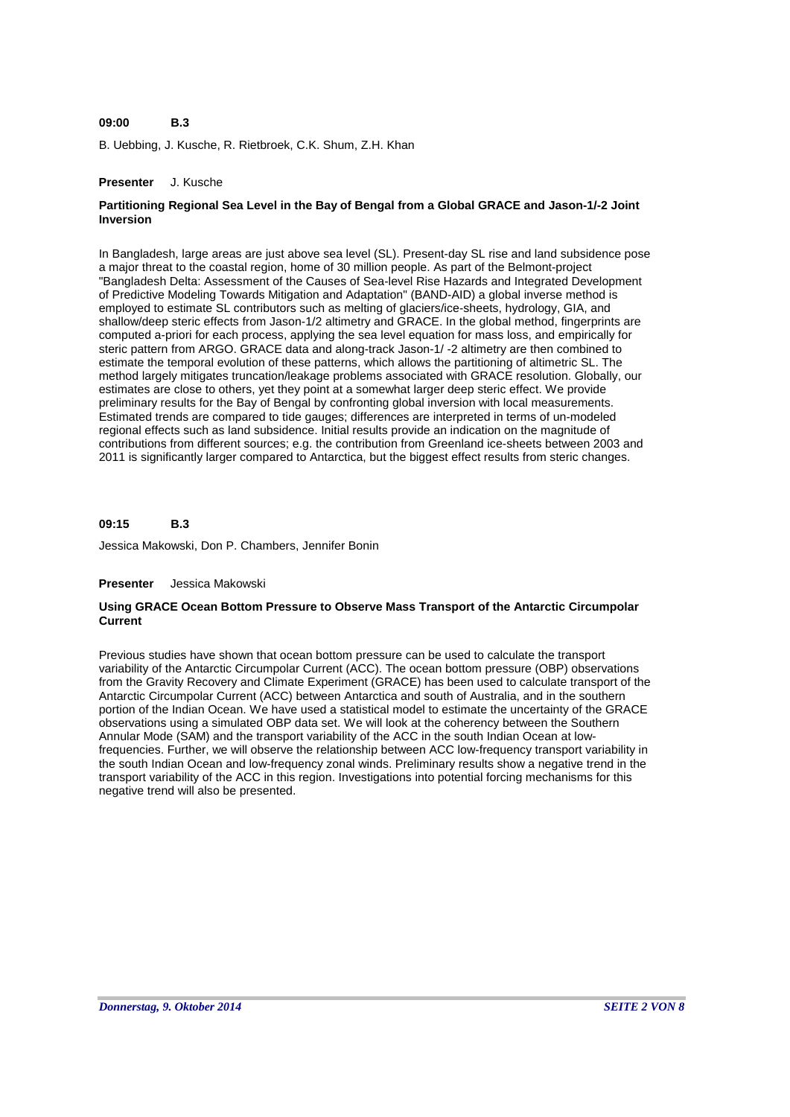#### **B.3 09:00**

B. Uebbing, J. Kusche, R. Rietbroek, C.K. Shum, Z.H. Khan

## **Presenter** J. Kusche

# **Partitioning Regional Sea Level in the Bay of Bengal from a Global GRACE and Jason-1/-2 Joint Inversion**

In Bangladesh, large areas are just above sea level (SL). Present-day SL rise and land subsidence pose a major threat to the coastal region, home of 30 million people. As part of the Belmont-project "Bangladesh Delta: Assessment of the Causes of Sea-level Rise Hazards and Integrated Development of Predictive Modeling Towards Mitigation and Adaptation" (BAND-AID) a global inverse method is employed to estimate SL contributors such as melting of glaciers/ice-sheets, hydrology, GIA, and shallow/deep steric effects from Jason-1/2 altimetry and GRACE. In the global method, fingerprints are computed a-priori for each process, applying the sea level equation for mass loss, and empirically for steric pattern from ARGO. GRACE data and along-track Jason-1/ -2 altimetry are then combined to estimate the temporal evolution of these patterns, which allows the partitioning of altimetric SL. The method largely mitigates truncation/leakage problems associated with GRACE resolution. Globally, our estimates are close to others, yet they point at a somewhat larger deep steric effect. We provide preliminary results for the Bay of Bengal by confronting global inversion with local measurements. Estimated trends are compared to tide gauges; differences are interpreted in terms of un-modeled regional effects such as land subsidence. Initial results provide an indication on the magnitude of contributions from different sources; e.g. the contribution from Greenland ice-sheets between 2003 and 2011 is significantly larger compared to Antarctica, but the biggest effect results from steric changes.

#### **B.3 09:15**

Jessica Makowski, Don P. Chambers, Jennifer Bonin

### **Presenter** Jessica Makowski

### **Using GRACE Ocean Bottom Pressure to Observe Mass Transport of the Antarctic Circumpolar Current**

Previous studies have shown that ocean bottom pressure can be used to calculate the transport variability of the Antarctic Circumpolar Current (ACC). The ocean bottom pressure (OBP) observations from the Gravity Recovery and Climate Experiment (GRACE) has been used to calculate transport of the Antarctic Circumpolar Current (ACC) between Antarctica and south of Australia, and in the southern portion of the Indian Ocean. We have used a statistical model to estimate the uncertainty of the GRACE observations using a simulated OBP data set. We will look at the coherency between the Southern Annular Mode (SAM) and the transport variability of the ACC in the south Indian Ocean at lowfrequencies. Further, we will observe the relationship between ACC low-frequency transport variability in the south Indian Ocean and low-frequency zonal winds. Preliminary results show a negative trend in the transport variability of the ACC in this region. Investigations into potential forcing mechanisms for this negative trend will also be presented.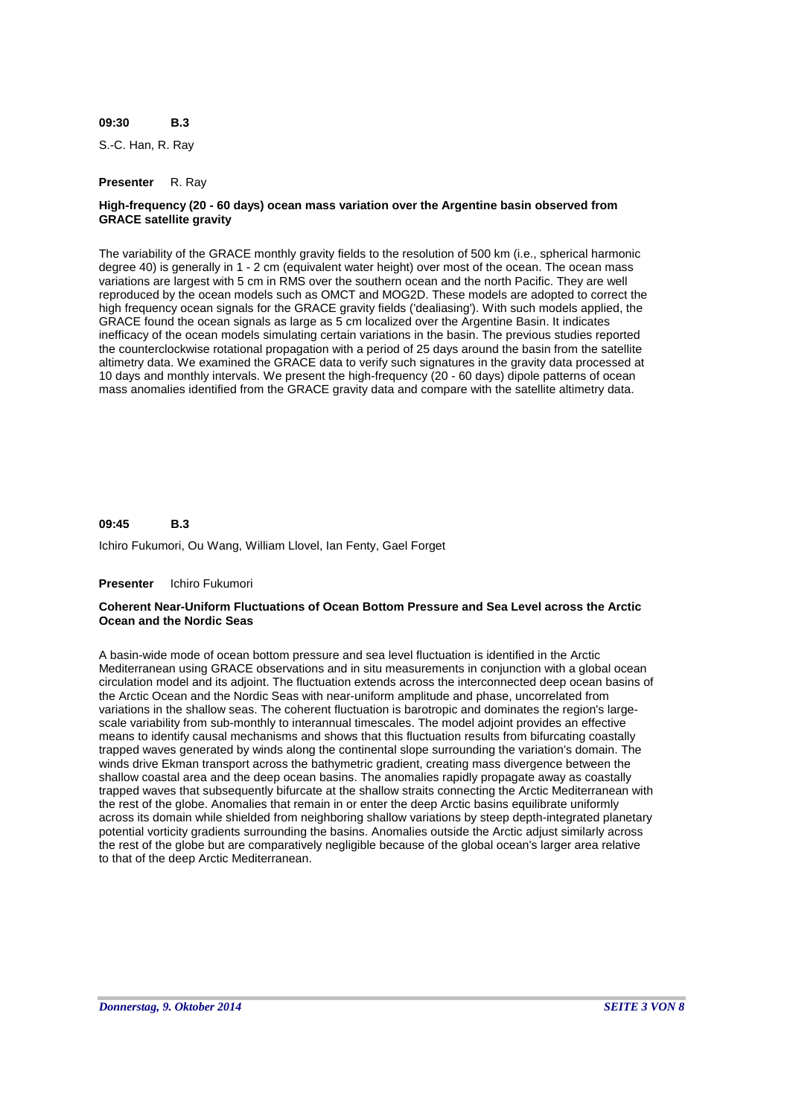#### **B.3 09:30**

S.-C. Han, R. Ray

#### **Presenter** R. Ray

## **High-frequency (20 - 60 days) ocean mass variation over the Argentine basin observed from GRACE satellite gravity**

The variability of the GRACE monthly gravity fields to the resolution of 500 km (i.e., spherical harmonic degree 40) is generally in 1 - 2 cm (equivalent water height) over most of the ocean. The ocean mass variations are largest with 5 cm in RMS over the southern ocean and the north Pacific. They are well reproduced by the ocean models such as OMCT and MOG2D. These models are adopted to correct the high frequency ocean signals for the GRACE gravity fields ('dealiasing'). With such models applied, the GRACE found the ocean signals as large as 5 cm localized over the Argentine Basin. It indicates inefficacy of the ocean models simulating certain variations in the basin. The previous studies reported the counterclockwise rotational propagation with a period of 25 days around the basin from the satellite altimetry data. We examined the GRACE data to verify such signatures in the gravity data processed at 10 days and monthly intervals. We present the high-frequency (20 - 60 days) dipole patterns of ocean mass anomalies identified from the GRACE gravity data and compare with the satellite altimetry data.

#### **B.3 09:45**

Ichiro Fukumori, Ou Wang, William Llovel, Ian Fenty, Gael Forget

#### **Presenter** Ichiro Fukumori

### **Coherent Near-Uniform Fluctuations of Ocean Bottom Pressure and Sea Level across the Arctic Ocean and the Nordic Seas**

A basin-wide mode of ocean bottom pressure and sea level fluctuation is identified in the Arctic Mediterranean using GRACE observations and in situ measurements in conjunction with a global ocean circulation model and its adjoint. The fluctuation extends across the interconnected deep ocean basins of the Arctic Ocean and the Nordic Seas with near-uniform amplitude and phase, uncorrelated from variations in the shallow seas. The coherent fluctuation is barotropic and dominates the region's largescale variability from sub-monthly to interannual timescales. The model adjoint provides an effective means to identify causal mechanisms and shows that this fluctuation results from bifurcating coastally trapped waves generated by winds along the continental slope surrounding the variation's domain. The winds drive Ekman transport across the bathymetric gradient, creating mass divergence between the shallow coastal area and the deep ocean basins. The anomalies rapidly propagate away as coastally trapped waves that subsequently bifurcate at the shallow straits connecting the Arctic Mediterranean with the rest of the globe. Anomalies that remain in or enter the deep Arctic basins equilibrate uniformly across its domain while shielded from neighboring shallow variations by steep depth-integrated planetary potential vorticity gradients surrounding the basins. Anomalies outside the Arctic adjust similarly across the rest of the globe but are comparatively negligible because of the global ocean's larger area relative to that of the deep Arctic Mediterranean.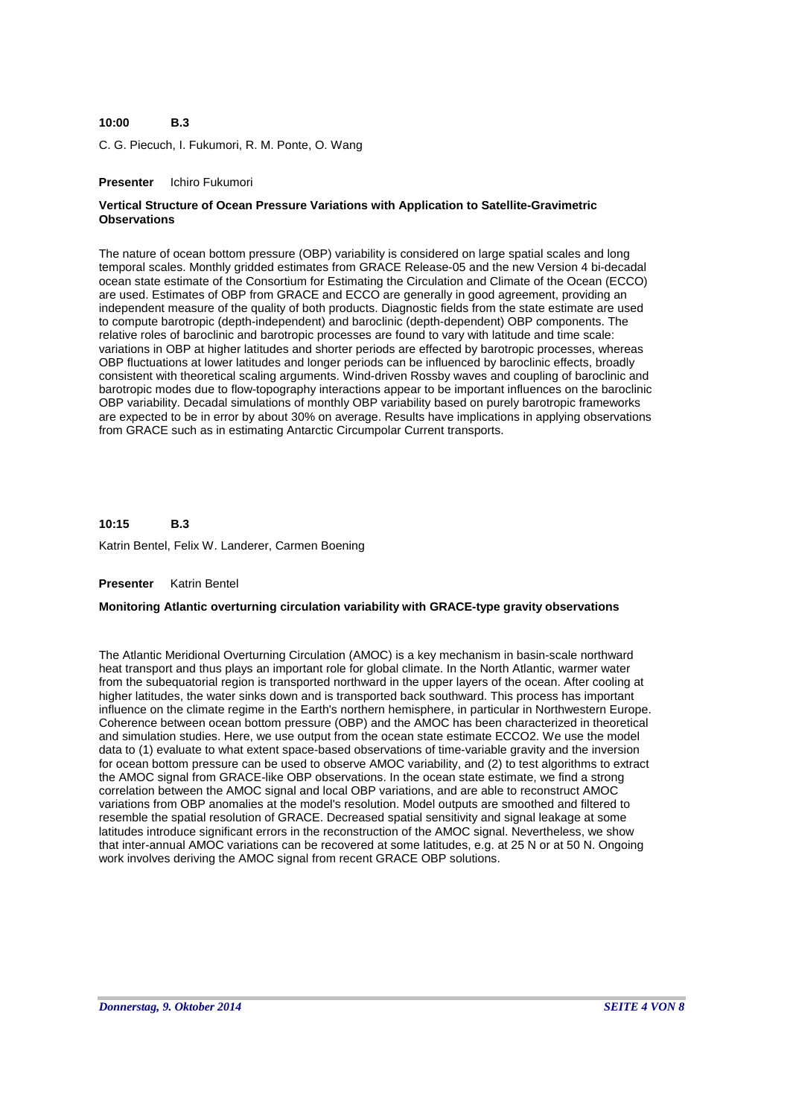#### **B.3 10:00**

C. G. Piecuch, I. Fukumori, R. M. Ponte, O. Wang

### **Presenter** Ichiro Fukumori

# **Vertical Structure of Ocean Pressure Variations with Application to Satellite-Gravimetric Observations**

The nature of ocean bottom pressure (OBP) variability is considered on large spatial scales and long temporal scales. Monthly gridded estimates from GRACE Release-05 and the new Version 4 bi-decadal ocean state estimate of the Consortium for Estimating the Circulation and Climate of the Ocean (ECCO) are used. Estimates of OBP from GRACE and ECCO are generally in good agreement, providing an independent measure of the quality of both products. Diagnostic fields from the state estimate are used to compute barotropic (depth-independent) and baroclinic (depth-dependent) OBP components. The relative roles of baroclinic and barotropic processes are found to vary with latitude and time scale: variations in OBP at higher latitudes and shorter periods are effected by barotropic processes, whereas OBP fluctuations at lower latitudes and longer periods can be influenced by baroclinic effects, broadly consistent with theoretical scaling arguments. Wind-driven Rossby waves and coupling of baroclinic and barotropic modes due to flow-topography interactions appear to be important influences on the baroclinic OBP variability. Decadal simulations of monthly OBP variability based on purely barotropic frameworks are expected to be in error by about 30% on average. Results have implications in applying observations from GRACE such as in estimating Antarctic Circumpolar Current transports.

**B.3** Katrin Bentel, Felix W. Landerer, Carmen Boening **10:15**

### **Presenter** Katrin Bentel

### **Monitoring Atlantic overturning circulation variability with GRACE-type gravity observations**

The Atlantic Meridional Overturning Circulation (AMOC) is a key mechanism in basin-scale northward heat transport and thus plays an important role for global climate. In the North Atlantic, warmer water from the subequatorial region is transported northward in the upper layers of the ocean. After cooling at higher latitudes, the water sinks down and is transported back southward. This process has important influence on the climate regime in the Earth's northern hemisphere, in particular in Northwestern Europe. Coherence between ocean bottom pressure (OBP) and the AMOC has been characterized in theoretical and simulation studies. Here, we use output from the ocean state estimate ECCO2. We use the model data to (1) evaluate to what extent space-based observations of time-variable gravity and the inversion for ocean bottom pressure can be used to observe AMOC variability, and (2) to test algorithms to extract the AMOC signal from GRACE-like OBP observations. In the ocean state estimate, we find a strong correlation between the AMOC signal and local OBP variations, and are able to reconstruct AMOC variations from OBP anomalies at the model's resolution. Model outputs are smoothed and filtered to resemble the spatial resolution of GRACE. Decreased spatial sensitivity and signal leakage at some latitudes introduce significant errors in the reconstruction of the AMOC signal. Nevertheless, we show that inter-annual AMOC variations can be recovered at some latitudes, e.g. at 25 N or at 50 N. Ongoing work involves deriving the AMOC signal from recent GRACE OBP solutions.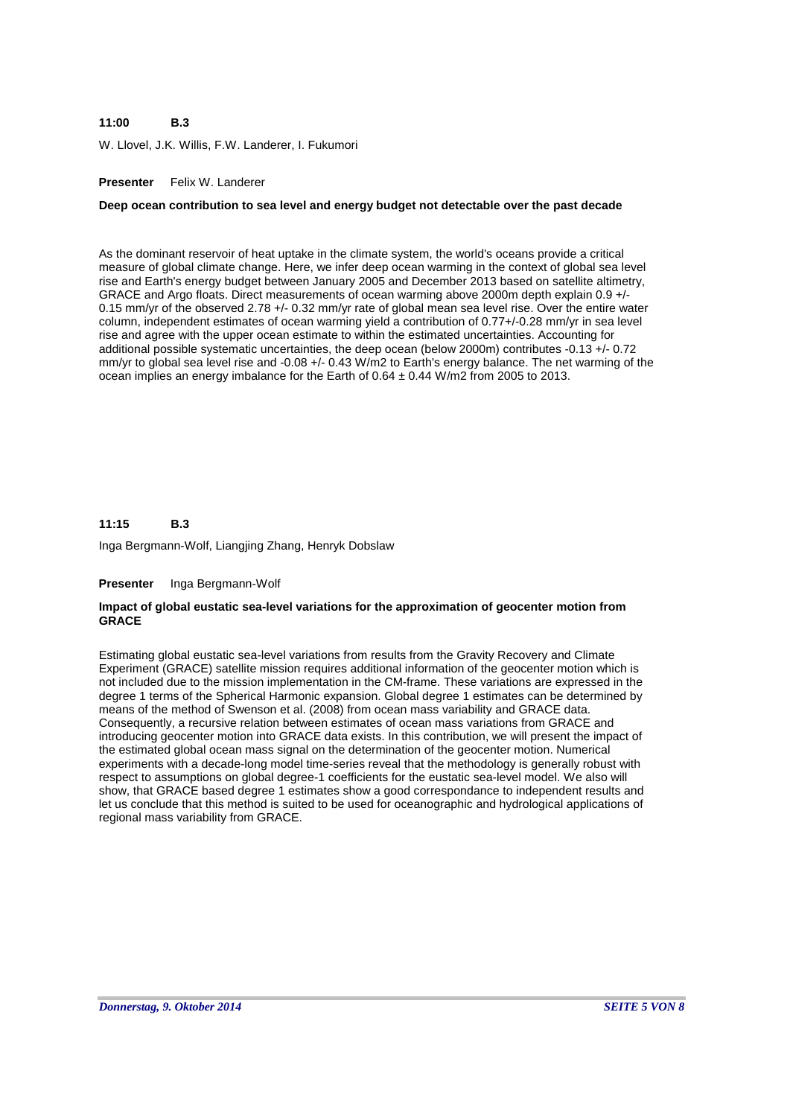#### **B.3 11:00**

W. Llovel, J.K. Willis, F.W. Landerer, I. Fukumori

## **Presenter** Felix W. Landerer

### **Deep ocean contribution to sea level and energy budget not detectable over the past decade**

As the dominant reservoir of heat uptake in the climate system, the world's oceans provide a critical measure of global climate change. Here, we infer deep ocean warming in the context of global sea level rise and Earth's energy budget between January 2005 and December 2013 based on satellite altimetry, GRACE and Argo floats. Direct measurements of ocean warming above 2000m depth explain 0.9 +/- 0.15 mm/yr of the observed 2.78 +/- 0.32 mm/yr rate of global mean sea level rise. Over the entire water column, independent estimates of ocean warming yield a contribution of 0.77+/-0.28 mm/yr in sea level rise and agree with the upper ocean estimate to within the estimated uncertainties. Accounting for additional possible systematic uncertainties, the deep ocean (below 2000m) contributes -0.13 +/- 0.72 mm/yr to global sea level rise and -0.08 +/- 0.43 W/m2 to Earth's energy balance. The net warming of the ocean implies an energy imbalance for the Earth of  $0.64 \pm 0.44$  W/m2 from 2005 to 2013.

#### **B.3 11:15**

Inga Bergmann-Wolf, Liangjing Zhang, Henryk Dobslaw

#### **Presenter** Inga Bergmann-Wolf

### **Impact of global eustatic sea-level variations for the approximation of geocenter motion from GRACE**

Estimating global eustatic sea-level variations from results from the Gravity Recovery and Climate Experiment (GRACE) satellite mission requires additional information of the geocenter motion which is not included due to the mission implementation in the CM-frame. These variations are expressed in the degree 1 terms of the Spherical Harmonic expansion. Global degree 1 estimates can be determined by means of the method of Swenson et al. (2008) from ocean mass variability and GRACE data. Consequently, a recursive relation between estimates of ocean mass variations from GRACE and introducing geocenter motion into GRACE data exists. In this contribution, we will present the impact of the estimated global ocean mass signal on the determination of the geocenter motion. Numerical experiments with a decade-long model time-series reveal that the methodology is generally robust with respect to assumptions on global degree-1 coefficients for the eustatic sea-level model. We also will show, that GRACE based degree 1 estimates show a good correspondance to independent results and let us conclude that this method is suited to be used for oceanographic and hydrological applications of regional mass variability from GRACE.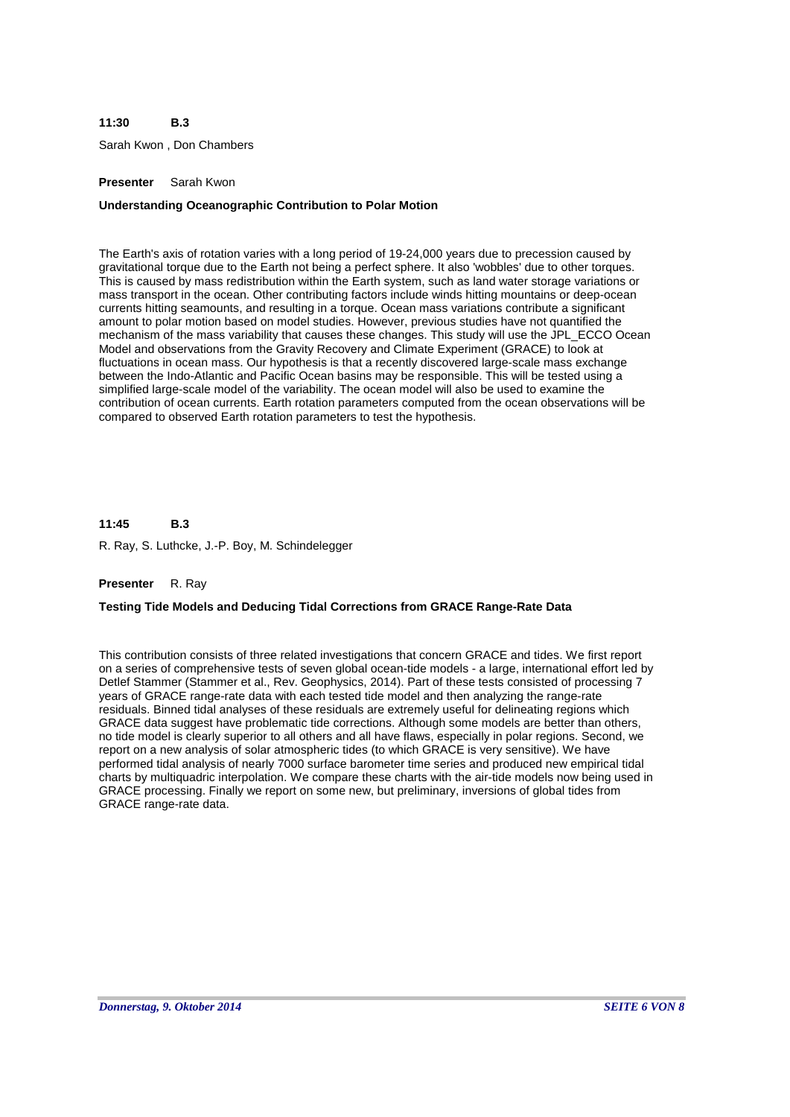#### **B.3 11:30**

Sarah Kwon , Don Chambers

### **Presenter** Sarah Kwon

## **Understanding Oceanographic Contribution to Polar Motion**

The Earth's axis of rotation varies with a long period of 19-24,000 years due to precession caused by gravitational torque due to the Earth not being a perfect sphere. It also 'wobbles' due to other torques. This is caused by mass redistribution within the Earth system, such as land water storage variations or mass transport in the ocean. Other contributing factors include winds hitting mountains or deep-ocean currents hitting seamounts, and resulting in a torque. Ocean mass variations contribute a significant amount to polar motion based on model studies. However, previous studies have not quantified the mechanism of the mass variability that causes these changes. This study will use the JPL\_ECCO Ocean Model and observations from the Gravity Recovery and Climate Experiment (GRACE) to look at fluctuations in ocean mass. Our hypothesis is that a recently discovered large-scale mass exchange between the Indo-Atlantic and Pacific Ocean basins may be responsible. This will be tested using a simplified large-scale model of the variability. The ocean model will also be used to examine the contribution of ocean currents. Earth rotation parameters computed from the ocean observations will be compared to observed Earth rotation parameters to test the hypothesis.

#### **B.3 11:45**

R. Ray, S. Luthcke, J.-P. Boy, M. Schindelegger

### **Presenter** R. Ray

### **Testing Tide Models and Deducing Tidal Corrections from GRACE Range-Rate Data**

This contribution consists of three related investigations that concern GRACE and tides. We first report on a series of comprehensive tests of seven global ocean-tide models - a large, international effort led by Detlef Stammer (Stammer et al., Rev. Geophysics, 2014). Part of these tests consisted of processing 7 years of GRACE range-rate data with each tested tide model and then analyzing the range-rate residuals. Binned tidal analyses of these residuals are extremely useful for delineating regions which GRACE data suggest have problematic tide corrections. Although some models are better than others, no tide model is clearly superior to all others and all have flaws, especially in polar regions. Second, we report on a new analysis of solar atmospheric tides (to which GRACE is very sensitive). We have performed tidal analysis of nearly 7000 surface barometer time series and produced new empirical tidal charts by multiquadric interpolation. We compare these charts with the air-tide models now being used in GRACE processing. Finally we report on some new, but preliminary, inversions of global tides from GRACE range-rate data.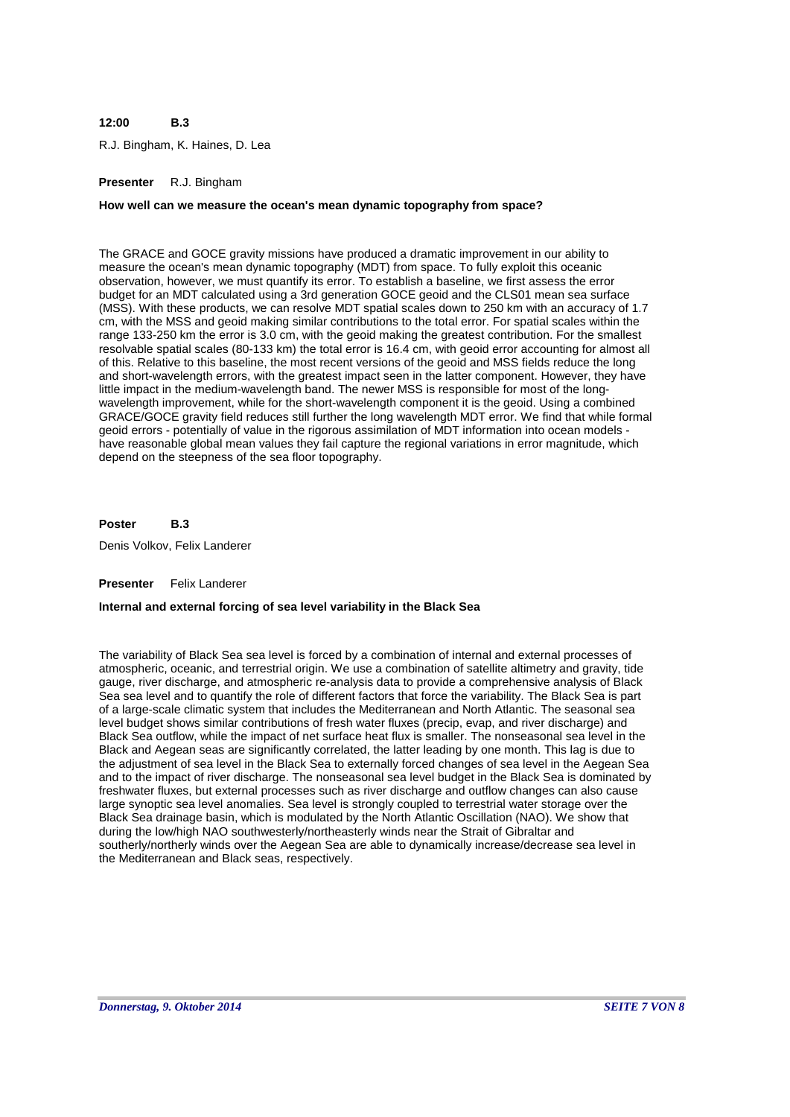#### **B.3 12:00**

R.J. Bingham, K. Haines, D. Lea

### **Presenter** R.J. Bingham

#### **How well can we measure the ocean's mean dynamic topography from space?**

The GRACE and GOCE gravity missions have produced a dramatic improvement in our ability to measure the ocean's mean dynamic topography (MDT) from space. To fully exploit this oceanic observation, however, we must quantify its error. To establish a baseline, we first assess the error budget for an MDT calculated using a 3rd generation GOCE geoid and the CLS01 mean sea surface (MSS). With these products, we can resolve MDT spatial scales down to 250 km with an accuracy of 1.7 cm, with the MSS and geoid making similar contributions to the total error. For spatial scales within the range 133-250 km the error is 3.0 cm, with the geoid making the greatest contribution. For the smallest resolvable spatial scales (80-133 km) the total error is 16.4 cm, with geoid error accounting for almost all of this. Relative to this baseline, the most recent versions of the geoid and MSS fields reduce the long and short-wavelength errors, with the greatest impact seen in the latter component. However, they have little impact in the medium-wavelength band. The newer MSS is responsible for most of the longwavelength improvement, while for the short-wavelength component it is the geoid. Using a combined GRACE/GOCE gravity field reduces still further the long wavelength MDT error. We find that while formal geoid errors - potentially of value in the rigorous assimilation of MDT information into ocean models have reasonable global mean values they fail capture the regional variations in error magnitude, which depend on the steepness of the sea floor topography.

#### **B.3 Poster**

Denis Volkov, Felix Landerer

#### **Presenter** Felix Landerer

### **Internal and external forcing of sea level variability in the Black Sea**

The variability of Black Sea sea level is forced by a combination of internal and external processes of atmospheric, oceanic, and terrestrial origin. We use a combination of satellite altimetry and gravity, tide gauge, river discharge, and atmospheric re-analysis data to provide a comprehensive analysis of Black Sea sea level and to quantify the role of different factors that force the variability. The Black Sea is part of a large-scale climatic system that includes the Mediterranean and North Atlantic. The seasonal sea level budget shows similar contributions of fresh water fluxes (precip, evap, and river discharge) and Black Sea outflow, while the impact of net surface heat flux is smaller. The nonseasonal sea level in the Black and Aegean seas are significantly correlated, the latter leading by one month. This lag is due to the adjustment of sea level in the Black Sea to externally forced changes of sea level in the Aegean Sea and to the impact of river discharge. The nonseasonal sea level budget in the Black Sea is dominated by freshwater fluxes, but external processes such as river discharge and outflow changes can also cause large synoptic sea level anomalies. Sea level is strongly coupled to terrestrial water storage over the Black Sea drainage basin, which is modulated by the North Atlantic Oscillation (NAO). We show that during the low/high NAO southwesterly/northeasterly winds near the Strait of Gibraltar and southerly/northerly winds over the Aegean Sea are able to dynamically increase/decrease sea level in the Mediterranean and Black seas, respectively.